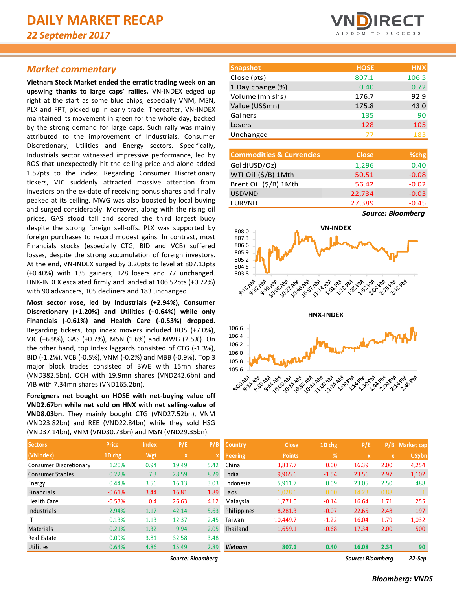# *Market commentary*

**Vietnam Stock Market ended the erratic trading week on an upswing thanks to large caps' rallies.** VN-INDEX edged up right at the start as some blue chips, especially VNM, MSN, PLX and FPT, picked up in early trade. Thereafter, VN-INDEX maintained its movement in green for the whole day, backed by the strong demand for large caps. Such rally was mainly attributed to the improvement of Industrials, Consumer Discretionary, Utilities and Energy sectors. Specifically, Industrials sector witnessed impressive performance, led by ROS that unexpectedly hit the ceiling price and alone added 1.57pts to the index. Regarding Consumer Discretionary tickers, VJC suddenly attracted massive attention from investors on the ex-date of receiving bonus shares and finally peaked at its ceiling. MWG was also boosted by local buying and surged considerably. Moreover, along with the rising oil prices, GAS stood tall and scored the third largest buoy despite the strong foreign sell-offs. PLX was supported by foreign purchases to record modest gains. In contrast, most Financials stocks (especially CTG, BID and VCB) suffered losses, despite the strong accumulation of foreign investors. At the end, VN-INDEX surged by 3.20pts to level at 807.13pts (+0.40%) with 135 gainers, 128 losers and 77 unchanged. HNX-INDEX escalated firmly and landed at 106.52pts (+0.72%) with 90 advancers, 105 decliners and 183 unchanged.

**Most sector rose, led by Industrials (+2.94%), Consumer Discretionary (+1.20%) and Utilities (+0.64%) while only Financials (-0.61%) and Health Care (-0.53%) dropped.**  Regarding tickers, top index movers included ROS (+7.0%), VJC (+6.9%), GAS (+0.7%), MSN (1.6%) and MWG (2.5%). On the other hand, top index laggards consisted of CTG (-1.3%), BID (-1.2%), VCB (-0.5%), VNM (-0.2%) and MBB (-0.9%). Top 3 major block trades consisted of BWE with 15mn shares (VND382.5bn), OCH with 19.9mn shares (VND242.6bn) and VIB with 7.34mn shares (VND165.2bn).

**Foreigners net bought on HOSE with net-buying value off VND2.67bn while net sold on HNX with net selling-value of VND8.03bn.** They mainly bought CTG (VND27.52bn), VNM (VND23.82bn) and REE (VND22.84bn) while they sold HSG (VND37.14bn), VNM (VND30.73bn) and MSN (VND29.35bn).

| <b>Sectors</b>         | <b>Price</b> | <b>Index</b> | P/E                       | P/B                     |
|------------------------|--------------|--------------|---------------------------|-------------------------|
| (VNIndex)              | 1D chg       | Wgt          | $\boldsymbol{\mathsf{x}}$ | $\overline{\mathbf{x}}$ |
| Consumer Discretionary | 1.20%        | 0.94         | 19.49                     | 5.42                    |
| Consumer Staples       | 0.22%        | 7.3          | 28.59                     | 8.29                    |
| Energy                 | 0.44%        | 3.56         | 16.13                     | 3.03                    |
| <b>Financials</b>      | $-0.61%$     | 3.44         | 16.81                     | 1.89                    |
| <b>Health Care</b>     | $-0.53%$     | 0.4          | 26.63                     | 4.12                    |
| Industrials            | 2.94%        | 1.17         | 42.14                     | 5.63                    |
| ΙT                     | 0.13%        | 1.13         | 12.37                     | 2.45                    |
| Materials              | 0.21%        | 1.32         | 9.94                      | 2.05                    |
| Real Estate            | 0.09%        | 3.81         | 32.58                     | 3.48                    |
| Utilities              | 0.64%        | 4.86         | 15.49                     | 2.89                    |



| <b>Snapshot</b>  | <b>HOSE</b> | <b>HNX</b> |
|------------------|-------------|------------|
| Close (pts)      | 807.1       | 106.5      |
| 1 Day change (%) | 0.40        | 0.72       |
| Volume (mn shs)  | 176.7       | 92.9       |
| Value (US\$mn)   | 175.8       | 43.0       |
| Gainers          | 135         | 90         |
| Losers           | 128         | 105        |
| Unchanged        | 77          | 183        |
|                  |             |            |

| <b>Commodities &amp; Currencies</b> | <b>Close</b> | %chg           |
|-------------------------------------|--------------|----------------|
| Gold(USD/Oz)                        | 1,296        | 0.40           |
| WTI Oil (\$/B) 1Mth                 | 50.51        | $-0.08$        |
| Brent Oil (\$/B) 1Mth               | 56.42        | $-0.02$        |
| <b>USDVND</b>                       | 22,734       | $-0.03$        |
| <b>EURVND</b>                       | 27,389       | $-0.45$        |
|                                     |              | $\blacksquare$ |

*Source: Bloomberg*



| <b>Sectors</b>         | <b>Price</b> | <b>Index</b> | P/E               | P/B  | <b>Country</b> | <b>Close</b>  | 1D chg  | P/E         | P/B               | Market cap    |  |  |
|------------------------|--------------|--------------|-------------------|------|----------------|---------------|---------|-------------|-------------------|---------------|--|--|
| (VNIndex)              | 1D chg       | Wgt          | X                 |      | <b>Peering</b> | <b>Points</b> | %       | $\mathbf x$ | $\mathbf{x}$      | <b>US\$bn</b> |  |  |
| Consumer Discretionary | 1.20%        | 0.94         | 19.49             | 5.42 | China          | 3,837.7       | 0.00    | 16.39       | 2.00              | 4,254         |  |  |
| Consumer Staples       | 0.22%        | 7.3          | 28.59             | 8.29 | India          | 9,965.6       | $-1.54$ | 23.56       | 2.97              | 1,102         |  |  |
| Energy                 | 0.44%        | 3.56         | 16.13             | 3.03 | Indonesia      | 5,911.7       | 0.09    | 23.05       | 2.50              | 488           |  |  |
| Financials             | $-0.61%$     | 3.44         | 16.81             | 1.89 | Laos           | 1,028.6       | 0.00    | 14.23       | 0.88              |               |  |  |
| Health Care            | $-0.53%$     | 0.4          | 26.63             | 4.12 | Malaysia       | 1.771.0       | $-0.14$ | 16.64       | 1.71              | 255           |  |  |
| Industrials            | 2.94%        | 1.17         | 42.14             | 5.63 | Philippines    | 8,281.3       | $-0.07$ | 22.65       | 2.48              | 197           |  |  |
|                        | 0.13%        | 1.13         | 12.37             | 2.45 | Taiwan         | 10,449.7      | $-1.22$ | 16.04       | 1.79              | 1,032         |  |  |
| Materials              | 0.21%        | 1.32         | 9.94              | 2.05 | Thailand       | 1,659.1       | $-0.68$ | 17.34       | 2.00              | 500           |  |  |
| Real Estate            | 0.09%        | 3.81         | 32.58             | 3.48 |                |               |         |             |                   |               |  |  |
| Utilities              | 0.64%        | 4.86         | 15.49             | 2.89 | <b>Vietnam</b> | 807.1         | 0.40    | 16.08       | 2.34              | 90            |  |  |
|                        |              |              | Source: Bloombera |      |                |               |         |             | Source: Bloombera |               |  |  |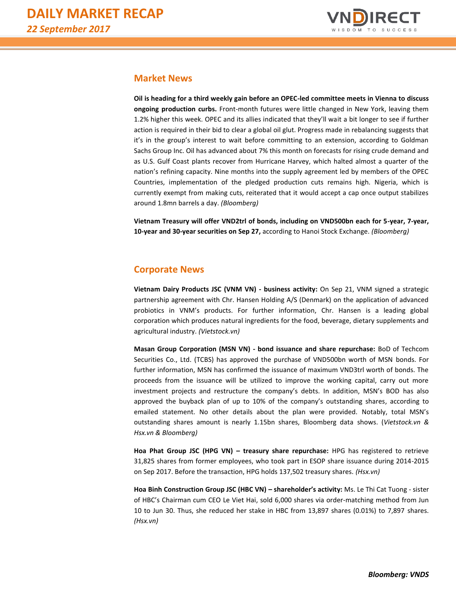

# **Market News**

**Oil is heading for a third weekly gain before an OPEC-led committee meets in Vienna to discuss ongoing production curbs.** Front-month futures were little changed in New York, leaving them 1.2% higher this week. OPEC and its allies indicated that they'll wait a bit longer to see if further action is required in their bid to clear a global oil glut. Progress made in rebalancing suggests that it's in the group's interest to wait before committing to an extension, according to Goldman Sachs Group Inc. Oil has advanced about 7% this month on forecasts for rising crude demand and as U.S. Gulf Coast plants recover from Hurricane Harvey, which halted almost a quarter of the nation's refining capacity. Nine months into the supply agreement led by members of the OPEC Countries, implementation of the pledged production cuts remains high. Nigeria, which is currently exempt from making cuts, reiterated that it would accept a cap once output stabilizes around 1.8mn barrels a day. *(Bloomberg)*

**Vietnam Treasury will offer VND2trl of bonds, including on VND500bn each for 5-year, 7-year, 10-year and 30-year securities on Sep 27,** according to Hanoi Stock Exchange. *(Bloomberg)*

# **Corporate News**

**Vietnam Dairy Products JSC (VNM VN) - business activity:** On Sep 21, VNM signed a strategic partnership agreement with Chr. Hansen Holding A/S (Denmark) on the application of advanced probiotics in VNM's products. For further information, Chr. Hansen is a leading global corporation which produces natural ingredients for the food, beverage, dietary supplements and agricultural industry. *(Vietstock.vn)*

**Masan Group Corporation (MSN VN) - bond issuance and share repurchase:** BoD of Techcom Securities Co., Ltd. (TCBS) has approved the purchase of VND500bn worth of MSN bonds. For further information, MSN has confirmed the issuance of maximum VND3trl worth of bonds. The proceeds from the issuance will be utilized to improve the working capital, carry out more investment projects and restructure the company's debts. In addition, MSN's BOD has also approved the buyback plan of up to 10% of the company's outstanding shares, according to emailed statement. No other details about the plan were provided. Notably, total MSN's outstanding shares amount is nearly 1.15bn shares, Bloomberg data shows. (*Vietstock.vn & Hsx.vn & Bloomberg)*

**Hoa Phat Group JSC (HPG VN) – treasury share repurchase:** HPG has registered to retrieve 31,825 shares from former employees, who took part in ESOP share issuance during 2014-2015 on Sep 2017. Before the transaction, HPG holds 137,502 treasury shares. *(Hsx.vn)*

**Hoa Binh Construction Group JSC (HBC VN) – shareholder's activity:** Ms. Le Thi Cat Tuong - sister of HBC's Chairman cum CEO Le Viet Hai, sold 6,000 shares via order-matching method from Jun 10 to Jun 30. Thus, she reduced her stake in HBC from 13,897 shares (0.01%) to 7,897 shares. *(Hsx.vn)*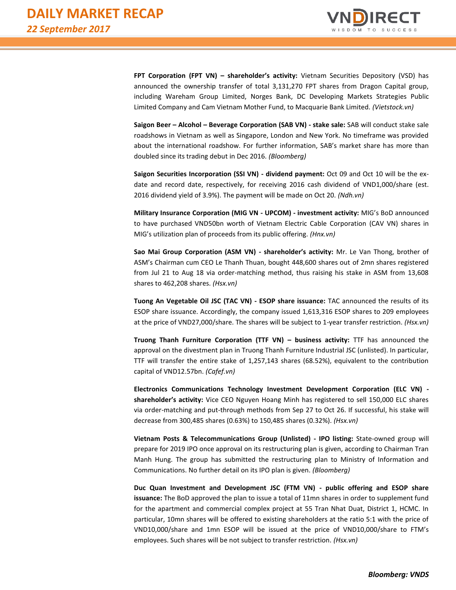

**FPT Corporation (FPT VN) – shareholder's activity:** Vietnam Securities Depository (VSD) has announced the ownership transfer of total 3,131,270 FPT shares from Dragon Capital group, including Wareham Group Limited, Norges Bank, DC Developing Markets Strategies Public Limited Company and Cam Vietnam Mother Fund, to Macquarie Bank Limited. *(Vietstock.vn)*

**Saigon Beer – Alcohol – Beverage Corporation (SAB VN) - stake sale:** SAB will conduct stake sale roadshows in Vietnam as well as Singapore, London and New York. No timeframe was provided about the international roadshow. For further information, SAB's market share has more than doubled since its trading debut in Dec 2016. *(Bloomberg)*

**Saigon Securities Incorporation (SSI VN) - dividend payment:** Oct 09 and Oct 10 will be the exdate and record date, respectively, for receiving 2016 cash dividend of VND1,000/share (est. 2016 dividend yield of 3.9%). The payment will be made on Oct 20. *(Ndh.vn)*

**Military Insurance Corporation (MIG VN - UPCOM) - investment activity:** MIG's BoD announced to have purchased VND50bn worth of Vietnam Electric Cable Corporation (CAV VN) shares in MIG's utilization plan of proceeds from its public offering. *(Hnx.vn)*

**Sao Mai Group Corporation (ASM VN) - shareholder's activity:** Mr. Le Van Thong, brother of ASM's Chairman cum CEO Le Thanh Thuan, bought 448,600 shares out of 2mn shares registered from Jul 21 to Aug 18 via order-matching method, thus raising his stake in ASM from 13,608 shares to 462,208 shares. *(Hsx.vn)*

**Tuong An Vegetable Oil JSC (TAC VN) - ESOP share issuance:** TAC announced the results of its ESOP share issuance. Accordingly, the company issued 1,613,316 ESOP shares to 209 employees at the price of VND27,000/share. The shares will be subject to 1-year transfer restriction. *(Hsx.vn)*

**Truong Thanh Furniture Corporation (TTF VN) – business activity:** TTF has announced the approval on the divestment plan in Truong Thanh Furniture Industrial JSC (unlisted). In particular, TTF will transfer the entire stake of 1,257,143 shares (68.52%), equivalent to the contribution capital of VND12.57bn. *(Cafef.vn)*

**Electronics Communications Technology Investment Development Corporation (ELC VN) shareholder's activity:** Vice CEO Nguyen Hoang Minh has registered to sell 150,000 ELC shares via order-matching and put-through methods from Sep 27 to Oct 26. If successful, his stake will decrease from 300,485 shares (0.63%) to 150,485 shares (0.32%). *(Hsx.vn)*

**Vietnam Posts & Telecommunications Group (Unlisted) - IPO listing:** State-owned group will prepare for 2019 IPO once approval on its restructuring plan is given, according to Chairman Tran Manh Hung. The group has submitted the restructuring plan to Ministry of Information and Communications. No further detail on its IPO plan is given. *(Bloomberg)*

**Duc Quan Investment and Development JSC (FTM VN) - public offering and ESOP share issuance:** The BoD approved the plan to issue a total of 11mn shares in order to supplement fund for the apartment and commercial complex project at 55 Tran Nhat Duat, District 1, HCMC. In particular, 10mn shares will be offered to existing shareholders at the ratio 5:1 with the price of VND10,000/share and 1mn ESOP will be issued at the price of VND10,000/share to FTM's employees. Such shares will be not subject to transfer restriction. *(Hsx.vn)*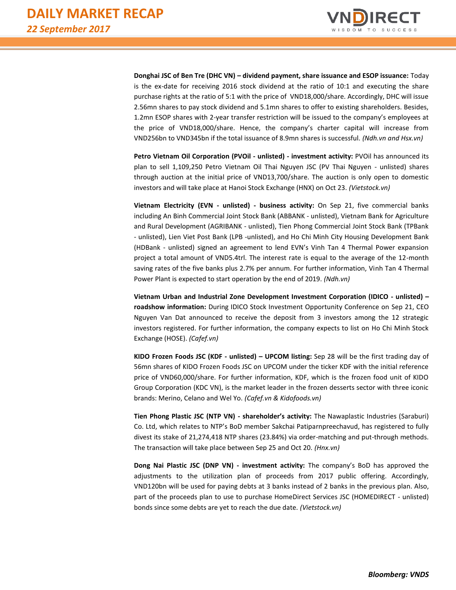

**Donghai JSC of Ben Tre (DHC VN) – dividend payment, share issuance and ESOP issuance:** Today is the ex-date for receiving 2016 stock dividend at the ratio of 10:1 and executing the share purchase rights at the ratio of 5:1 with the price of VND18,000/share. Accordingly, DHC will issue 2.56mn shares to pay stock dividend and 5.1mn shares to offer to existing shareholders. Besides, 1.2mn ESOP shares with 2-year transfer restriction will be issued to the company's employees at the price of VND18,000/share. Hence, the company's charter capital will increase from VND256bn to VND345bn if the total issuance of 8.9mn shares is successful. *(Ndh.vn and Hsx.vn)*

**Petro Vietnam Oil Corporation (PVOil - unlisted) - investment activity:** PVOil has announced its plan to sell 1,109,250 Petro Vietnam Oil Thai Nguyen JSC (PV Thai Nguyen - unlisted) shares through auction at the initial price of VND13,700/share. The auction is only open to domestic investors and will take place at Hanoi Stock Exchange (HNX) on Oct 23. *(Vietstock.vn)*

**Vietnam Electricity (EVN - unlisted) - business activity:** On Sep 21, five commercial banks including An Binh Commercial Joint Stock Bank (ABBANK - unlisted), Vietnam Bank for Agriculture and Rural Development (AGRIBANK - unlisted), Tien Phong Commercial Joint Stock Bank (TPBank - unlisted), Lien Viet Post Bank (LPB -unlisted), and Ho Chi Minh City Housing Development Bank (HDBank - unlisted) signed an agreement to lend EVN's Vinh Tan 4 Thermal Power expansion project a total amount of VND5.4trl. The interest rate is equal to the average of the 12-month saving rates of the five banks plus 2.7% per annum. For further information, Vinh Tan 4 Thermal Power Plant is expected to start operation by the end of 2019. *(Ndh.vn)*

**Vietnam Urban and Industrial Zone Development Investment Corporation (IDICO - unlisted) – roadshow information:** During IDICO Stock Investment Opportunity Conference on Sep 21, CEO Nguyen Van Dat announced to receive the deposit from 3 investors among the 12 strategic investors registered. For further information, the company expects to list on Ho Chi Minh Stock Exchange (HOSE). *(Cafef.vn)*

**KIDO Frozen Foods JSC (KDF - unlisted) – UPCOM listing:** Sep 28 will be the first trading day of 56mn shares of KIDO Frozen Foods JSC on UPCOM under the ticker KDF with the initial reference price of VND60,000/share. For further information, KDF, which is the frozen food unit of KIDO Group Corporation (KDC VN), is the market leader in the frozen desserts sector with three iconic brands: Merino, Celano and Wel Yo. *(Cafef.vn & Kidofoods.vn)*

**Tien Phong Plastic JSC (NTP VN) - shareholder's activity:** The Nawaplastic Industries (Saraburi) Co. Ltd, which relates to NTP's BoD member Sakchai Patiparnpreechavud, has registered to fully divest its stake of 21,274,418 NTP shares (23.84%) via order-matching and put-through methods. The transaction will take place between Sep 25 and Oct 20. *(Hnx.vn)*

**Dong Nai Plastic JSC (DNP VN) - investment activity:** The company's BoD has approved the adjustments to the utilization plan of proceeds from 2017 public offering. Accordingly, VND120bn will be used for paying debts at 3 banks instead of 2 banks in the previous plan. Also, part of the proceeds plan to use to purchase HomeDirect Services JSC (HOMEDIRECT - unlisted) bonds since some debts are yet to reach the due date. *(Vietstock.vn)*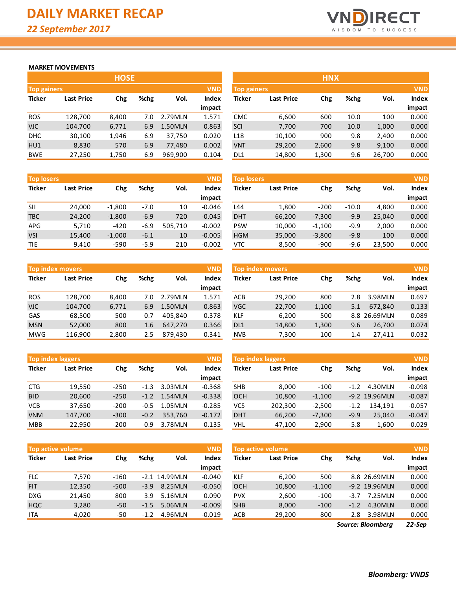

#### **MARKET MOVEMENTS**

|                    | <b>HOSE</b>       |       |      |         |              |  |  |  |  |  |  |  |
|--------------------|-------------------|-------|------|---------|--------------|--|--|--|--|--|--|--|
| <b>Top gainers</b> |                   |       |      |         |              |  |  |  |  |  |  |  |
| <b>Ticker</b>      | <b>Last Price</b> | Chg   | %chg | Vol.    | <b>Index</b> |  |  |  |  |  |  |  |
|                    |                   |       |      |         | impact       |  |  |  |  |  |  |  |
| <b>ROS</b>         | 128,700           | 8,400 | 7.0  | 2.79MLN | 1.571        |  |  |  |  |  |  |  |
| <b>VJC</b>         | 104,700           | 6,771 | 6.9  | 1.50MLN | 0.863        |  |  |  |  |  |  |  |
| DHC                | 30,100            | 1,946 | 6.9  | 37,750  | 0.020        |  |  |  |  |  |  |  |
| HU1                | 8,830             | 570   | 6.9  | 77,480  | 0.002        |  |  |  |  |  |  |  |
| <b>BWE</b>         | 27,250            | 1,750 | 6.9  | 969,900 | 0.104        |  |  |  |  |  |  |  |

| <b>Top losers</b> |                   |          |        |         | <b>VND</b> | <b>Top losers</b> |                   |          |         | <b>VND</b> |        |  |
|-------------------|-------------------|----------|--------|---------|------------|-------------------|-------------------|----------|---------|------------|--------|--|
| <b>Ticker</b>     | <b>Last Price</b> | Chg      | %chg   | Vol.    | Index      | <b>Ticker</b>     | <b>Last Price</b> | Chg      | %chg    | Vol.       | Index  |  |
|                   |                   |          |        |         | impact     |                   |                   |          |         |            | impact |  |
| <b>SII</b>        | 24,000            | $-1,800$ | -7.0   | 10      | $-0.046$   | L44               | 1,800             | $-200$   | $-10.0$ | 4,800      | 0.000  |  |
| <b>TBC</b>        | 24,200            | $-1,800$ | $-6.9$ | 720     | $-0.045$   | <b>DHT</b>        | 66,200            | $-7,300$ | $-9.9$  | 25,040     | 0.000  |  |
| APG               | 5,710             | $-420$   | $-6.9$ | 505.710 | $-0.002$   | <b>PSW</b>        | 10.000            | $-1,100$ | -9.9    | 2.000      | 0.000  |  |
| <b>VSI</b>        | 15,400            | $-1,000$ | $-6.1$ | 10      | $-0.005$   | <b>HGM</b>        | 35,000            | $-3,800$ | $-9.8$  | 100        | 0.000  |  |
| TIE               | 9,410             | $-590$   | $-5.9$ | 210     | $-0.002$   | VTC               | 8,500             | $-900$   | $-9.6$  | 23,500     | 0.000  |  |

|               | <b>Top index movers</b> |            |      |         | <b>VND</b>   |
|---------------|-------------------------|------------|------|---------|--------------|
| <b>Ticker</b> | <b>Last Price</b>       | <b>Chg</b> | %chg | Vol.    | <b>Index</b> |
|               |                         |            |      |         | impact       |
| <b>ROS</b>    | 128,700                 | 8,400      | 7.0  | 2.79MLN | 1.571        |
| <b>VJC</b>    | 104,700                 | 6,771      | 6.9  | 1.50MLN | 0.863        |
| GAS           | 68,500                  | 500        | 0.7  | 405,840 | 0.378        |
| <b>MSN</b>    | 52,000                  | 800        | 1.6  | 647,270 | 0.366        |
| <b>MWG</b>    | 116,900                 | 2,800      | 2.5  | 879,430 | 0.341        |

| <b>Top index laggers</b> |                   |        |        |         | <b>VND</b>   |
|--------------------------|-------------------|--------|--------|---------|--------------|
| <b>Ticker</b>            | <b>Last Price</b> | Chg    | %chg   | Vol.    | <b>Index</b> |
|                          |                   |        |        |         | impact       |
| <b>CTG</b>               | 19,550            | $-250$ | $-1.3$ | 3.03MLN | $-0.368$     |
| <b>BID</b>               | 20,600            | $-250$ | $-1.2$ | 1.54MLN | $-0.338$     |
| <b>VCB</b>               | 37,650            | $-200$ | $-0.5$ | 1.05MLN | $-0.285$     |
| <b>VNM</b>               | 147,700           | $-300$ | $-0.2$ | 353,760 | $-0.172$     |
| <b>MBB</b>               | 22,950            | $-200$ | $-0.9$ | 3.78MLN | $-0.135$     |

|               | <b>Top active volume</b> |        |        |               | <b>VND</b>   |
|---------------|--------------------------|--------|--------|---------------|--------------|
| <b>Ticker</b> | <b>Last Price</b>        | Chg    | %chg   | Vol.          | <b>Index</b> |
|               |                          |        |        |               | impact       |
| <b>FLC</b>    | 7,570                    | -160   |        | -2.1 14.99MLN | $-0.040$     |
| <b>FIT</b>    | 12,350                   | $-500$ | $-3.9$ | 8.25MLN       | $-0.050$     |
| <b>DXG</b>    | 21,450                   | 800    | 3.9    | 5.16MLN       | 0.090        |
| <b>HQC</b>    | 3,280                    | -50    | $-1.5$ | 5.06MLN       | $-0.009$     |
| ITA           | 4,020                    | -50    | $-1.2$ | 4.96MLN       | $-0.019$     |

|                                  |                   | <b>HOSE</b> |      |         |        |                 |                    | <b>HNX</b> |      |        |              |
|----------------------------------|-------------------|-------------|------|---------|--------|-----------------|--------------------|------------|------|--------|--------------|
| <b>VND</b><br><b>Top gainers</b> |                   |             |      |         |        |                 | <b>Top gainers</b> |            |      |        |              |
| Ticker                           | <b>Last Price</b> | Chg         | %chg | Vol.    | Index  | Ticker          | <b>Last Price</b>  | Chg        | %chg | Vol.   | <b>Index</b> |
|                                  |                   |             |      |         | impact |                 |                    |            |      |        | impact       |
| <b>ROS</b>                       | 128,700           | 8,400       | 7.0  | 2.79MLN | 1.571  | <b>CMC</b>      | 6,600              | 600        | 10.0 | 100    | 0.000        |
| VJC.                             | 104,700           | 6,771       | 6.9  | 1.50MLN | 0.863  | SCI             | 7,700              | 700        | 10.0 | 1,000  | 0.000        |
| <b>DHC</b>                       | 30,100            | 1,946       | 6.9  | 37.750  | 0.020  | L <sub>18</sub> | 10,100             | 900        | 9.8  | 2,400  | 0.000        |
| HU1                              | 8,830             | 570         | 6.9  | 77.480  | 0.002  | <b>VNT</b>      | 29,200             | 2,600      | 9.8  | 9,100  | 0.000        |
| <b>BWE</b>                       | 27,250            | 1,750       | 6.9  | 969,900 | 0.104  | DL1             | 14,800             | 1,300      | 9.6  | 26,700 | 0.000        |

| <b>Top losers</b> |                   |          |        |         | <b>VND</b> | <b>Top losers</b> |                   |          |         |        | <b>VND</b>   |
|-------------------|-------------------|----------|--------|---------|------------|-------------------|-------------------|----------|---------|--------|--------------|
| Ticker            | <b>Last Price</b> | Chg      | %chg   | Vol.    | Index      | <b>Ticker</b>     | <b>Last Price</b> | Chg      | %chg    | Vol.   | <b>Index</b> |
|                   |                   |          |        |         | impact     |                   |                   |          |         |        | impact       |
| SH                | 24.000            | $-1,800$ | $-7.0$ | 10      | $-0.046$   | L44               | 1.800             | $-200$   | $-10.0$ | 4.800  | 0.000        |
| TBC               | 24,200            | $-1,800$ | $-6.9$ | 720     | $-0.045$   | <b>DHT</b>        | 66,200            | $-7,300$ | $-9.9$  | 25,040 | 0.000        |
| APG               | 5,710             | $-420$   | $-6.9$ | 505.710 | $-0.002$   | <b>PSW</b>        | 10,000            | $-1,100$ | $-9.9$  | 2,000  | 0.000        |
| VSI               | 15,400            | $-1,000$ | $-6.1$ | 10      | $-0.005$   | <b>HGM</b>        | 35,000            | $-3,800$ | $-9.8$  | 100    | 0.000        |
| TIE               | 9,410             | $-590$   | $-5.9$ | 210     | $-0.002$   | <b>VTC</b>        | 8,500             | $-900$   | $-9.6$  | 23,500 | 0.000        |

|            | <b>Top index movers</b> |       |      |         | <b>VND</b> |                 | <b>Top index movers</b> |       |      |              | <b>VND</b>   |
|------------|-------------------------|-------|------|---------|------------|-----------------|-------------------------|-------|------|--------------|--------------|
| Ticker     | <b>Last Price</b>       | Chg   | %chg | Vol.    | Index      | Ticker          | <b>Last Price</b>       | Chg   | %chg | Vol.         | <b>Index</b> |
|            |                         |       |      |         | impact     |                 |                         |       |      |              | impact       |
| <b>ROS</b> | 128.700                 | 8.400 | 7.0  | 2.79MLN | 1.571      | <b>ACB</b>      | 29,200                  | 800   | 2.8  | 3.98MLN      | 0.697        |
| VJC        | 104,700                 | 6,771 | 6.9  | 1.50MLN | 0.863      | <b>VGC</b>      | 22,700                  | 1,100 | 5.1  | 672.840      | 0.133        |
| <b>GAS</b> | 68,500                  | 500   | 0.7  | 405.840 | 0.378      | KLF             | 6,200                   | 500   |      | 8.8 26.69MLN | 0.089        |
| <b>MSN</b> | 52,000                  | 800   | 1.6  | 647.270 | 0.366      | DL <sub>1</sub> | 14,800                  | 1,300 | 9.6  | 26.700       | 0.074        |
| MWG        | 116,900                 | 2,800 | 2.5  | 879,430 | 0.341      | <b>NVB</b>      | 7,300                   | 100   | 1.4  | 27.411       | 0.032        |
|            |                         |       |      |         |            |                 |                         |       |      |              |              |

| <b>Top index laggers</b> |                   |        |        |         | <b>VND</b> | <b>Top index laggers</b> |                   |          |        |                  | <b>VND</b>   |
|--------------------------|-------------------|--------|--------|---------|------------|--------------------------|-------------------|----------|--------|------------------|--------------|
| Ticker                   | <b>Last Price</b> | Chg    | %chg   | Vol.    | Index      | Ticker                   | <b>Last Price</b> | Chg      | %chg   | Vol.             | <b>Index</b> |
|                          |                   |        |        |         | impact     |                          |                   |          |        |                  | impact       |
| CTG                      | 19,550            | $-250$ | $-1.3$ | 3.03MLN | $-0.368$   | <b>SHB</b>               | 8.000             | $-100$   | $-1.2$ | 4.30MLN          | $-0.098$     |
| <b>BID</b>               | 20,600            | $-250$ | $-1.2$ | 1.54MLN | $-0.338$   | <b>OCH</b>               | 10,800            | $-1,100$ |        | $-9.2$ 19.96 MLN | $-0.087$     |
| VCB                      | 37,650            | $-200$ | $-0.5$ | 1.05MLN | $-0.285$   | VCS                      | 202,300           | $-2.500$ | $-1.2$ | 134.191          | $-0.057$     |
| <b>VNM</b>               | 147,700           | $-300$ | $-0.2$ | 353.760 | $-0.172$   | <b>DHT</b>               | 66,200            | $-7,300$ | $-9.9$ | 25,040           | $-0.047$     |
| MBB                      | 22,950            | $-200$ | $-0.9$ | 3.78MLN | $-0.135$   | <b>VHL</b>               | 47,100            | $-2,900$ | $-5.8$ | 1,600            | $-0.029$     |

|            | <b>Top active volume</b> |        |        |                 | <b>VND</b> |            | Top active volume |          |        |               | VND.   |
|------------|--------------------------|--------|--------|-----------------|------------|------------|-------------------|----------|--------|---------------|--------|
| Ticker     | <b>Last Price</b>        | Chg    | %chg   | Vol.            | Index      | Ticker     | <b>Last Price</b> | Chg      | %chg   | Vol.          | Index  |
|            |                          |        |        |                 | impact     |            |                   |          |        |               | impact |
| <b>FLC</b> | 7.570                    | $-160$ |        | $-2.1$ 14.99MLN | $-0.040$   | <b>KLF</b> | 6,200             | 500      |        | 8.8 26.69MLN  | 0.000  |
| <b>FIT</b> | 12,350                   | $-500$ | $-3.9$ | 8.25MLN         | $-0.050$   | <b>OCH</b> | 10,800            | $-1,100$ |        | -9.2 19.96MLN | 0.000  |
| <b>DXG</b> | 21,450                   | 800    | 3.9    | 5.16MLN         | 0.090      | <b>PVX</b> | 2,600             | $-100$   | $-3.7$ | 7.25MLN       | 0.000  |
| HQC        | 3,280                    | $-50$  | $-1.5$ | 5.06MLN         | $-0.009$   | <b>SHB</b> | 8,000             | $-100$   | $-1.2$ | 4.30MLN       | 0.000  |
| <b>ITA</b> | 4,020                    | -50    | $-1.2$ | 4.96MLN         | $-0.019$   | ACB        | 29,200            | 800      | 2.8    | 3.98MLN       | 0.000  |
|            |                          |        |        |                 |            |            |                   |          |        |               |        |

*22-Sep Source: Bloomberg*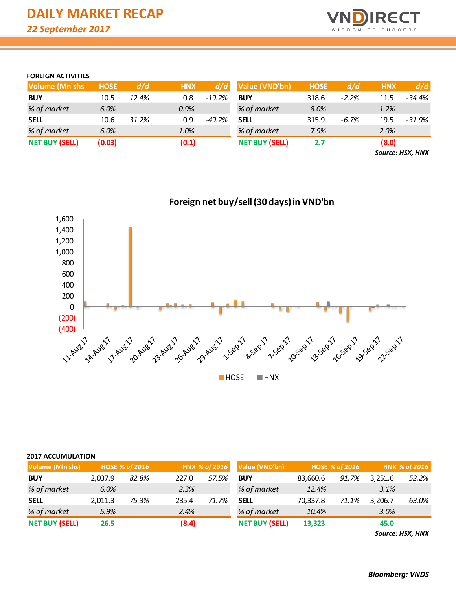

### **FOREIGN ACTIVITIES**

| <b>Volume (Mn'shs)</b> | <b>HOSE</b> | d/d   | <b>HNX</b> | d/d       | Value (VND'bn)        | <b>HOSE</b> | d/d      | <b>HNX</b> | d/d    |
|------------------------|-------------|-------|------------|-----------|-----------------------|-------------|----------|------------|--------|
| <b>BUY</b>             | 10.5        | 12.4% | 0.8        | $-19.2\%$ | <b>BUY</b>            | 318.6       | $-2.2%$  | 11.5       | -34.4% |
| % of market            | 6.0%        |       | 0.9%       |           | % of market           | 8.0%        |          | 1.2%       |        |
| <b>SELL</b>            | 10.6        | 31.2% | 0.9        | $-49.2%$  | <b>SELL</b>           | 315.9       | $-6.7\%$ | 19.5       | -31.9% |
| % of market            | 6.0%        |       | 1.0%       |           | % of market           | 7.9%        |          | 2.0%       |        |
| <b>NET BUY (SELL)</b>  | (0.03)      |       | (0.1)      |           | <b>NET BUY (SELL)</b> | 2.7         |          | (8.0)      |        |

*Source: HSX, HNX*



## **2017 ACCUMULATION**

| Volume (Mln'shs)      |         | <b>HOSE % of 2016</b> |       | HNX % of 2016 | Value (VND'bn)        |          | <b>HOSE % of 2016</b> | HNX % of 2016 |       |  |
|-----------------------|---------|-----------------------|-------|---------------|-----------------------|----------|-----------------------|---------------|-------|--|
| <b>BUY</b>            | 2.037.9 | 82.8%                 | 227.0 | 57.5%         | <b>BUY</b>            | 83,660.6 | 91.7%                 | 3,251.6       | 52.2% |  |
| % of market           | 6.0%    |                       | 2.3%  |               | % of market           | 12.4%    |                       | 3.1%          |       |  |
| <b>SELL</b>           | 2,011.3 | 75.3%                 | 235.4 | 71.7%         | <b>SELL</b>           | 70,337.8 | 71.1%                 | 3,206.7       | 63.0% |  |
| % of market           | 5.9%    |                       | 2.4%  |               | % of market           | 10.4%    |                       | 3.0%          |       |  |
| <b>NET BUY (SELL)</b> | 26.5    |                       | (8.4) |               | <b>NET BUY (SELL)</b> | 13,323   |                       | 45.0          |       |  |

*Source: HSX, HNX*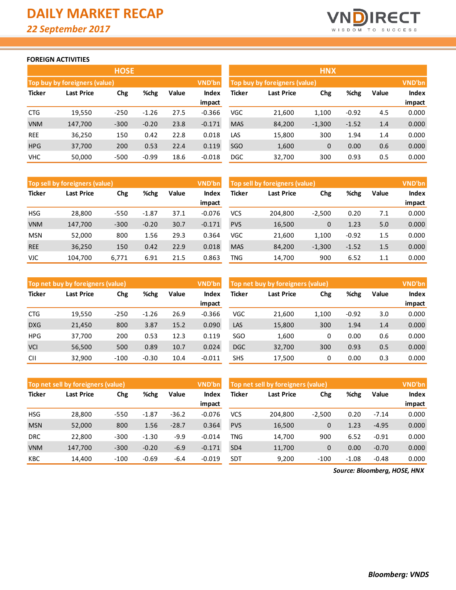

#### **FOREIGN ACTIVITIES**

|               |                               | <b>HOSE</b> |         |       |          |               |                               |              |         |       |               |
|---------------|-------------------------------|-------------|---------|-------|----------|---------------|-------------------------------|--------------|---------|-------|---------------|
|               | Top buy by foreigners (value) |             |         |       | VND'bn   |               | Top buy by foreigners (value) |              |         |       | <b>VND'bn</b> |
| <b>Ticker</b> | <b>Last Price</b>             | Chg         | %chg    | Value | Index    | <b>Ticker</b> | Last Price                    | Chg          | %chg    | Value | Index         |
|               |                               |             |         |       | impact   |               |                               |              |         |       | impact        |
| <b>CTG</b>    | 19,550                        | $-250$      | $-1.26$ | 27.5  | $-0.366$ | VGC           | 21,600                        | 1,100        | $-0.92$ | 4.5   | 0.000         |
| <b>VNM</b>    | 147,700                       | $-300$      | $-0.20$ | 23.8  | $-0.171$ | <b>MAS</b>    | 84,200                        | $-1,300$     | $-1.52$ | 1.4   | 0.000         |
| <b>REE</b>    | 36,250                        | 150         | 0.42    | 22.8  | 0.018    | LAS           | 15,800                        | 300          | 1.94    | 1.4   | 0.000         |
| <b>HPG</b>    | 37,700                        | 200         | 0.53    | 22.4  | 0.119    | SGO           | 1,600                         | $\mathbf{0}$ | 0.00    | 0.6   | 0.000         |
| <b>VHC</b>    | 50,000                        | $-500$      | $-0.99$ | 18.6  | $-0.018$ | <b>DGC</b>    | 32,700                        | 300          | 0.93    | 0.5   | 0.000         |

|               |                               | <b>HNX</b> |         |       |              |
|---------------|-------------------------------|------------|---------|-------|--------------|
|               | Top buy by foreigners (value) |            |         |       | VND'bn       |
| <b>Ticker</b> | <b>Last Price</b>             | <b>Chg</b> | %chg    | Value | <b>Index</b> |
|               |                               |            |         |       | impact       |
| VGC           | 21,600                        | 1,100      | $-0.92$ | 4.5   | 0.000        |
| <b>MAS</b>    | 84,200                        | $-1,300$   | $-1.52$ | 1.4   | 0.000        |
| LAS           | 15,800                        | 300        | 1.94    | 1.4   | 0.000        |
| SGO           | 1,600                         | 0          | 0.00    | 0.6   | 0.000        |
| DGC           | 32,700                        | 300        | 0.93    | 0.5   | 0.000        |

|               | Top sell by foreigners (value) |        |         |       | VND'bn   | Top sell by foreigners (value) |            | VND'bn      |         |       |        |
|---------------|--------------------------------|--------|---------|-------|----------|--------------------------------|------------|-------------|---------|-------|--------|
| <b>Ticker</b> | Last Price                     | Chg    | %chg    | Value | Index    | Ticker                         | Last Price | Chg         | %chg    | Value | Index  |
|               |                                |        |         |       | impact   |                                |            |             |         |       | impact |
| <b>HSG</b>    | 28,800                         | $-550$ | $-1.87$ | 37.1  | $-0.076$ | <b>VCS</b>                     | 204.800    | $-2,500$    | 0.20    | 7.1   | 0.000  |
| <b>VNM</b>    | 147,700                        | $-300$ | $-0.20$ | 30.7  | $-0.171$ | <b>PVS</b>                     | 16,500     | $\mathbf 0$ | 1.23    | 5.0   | 0.000  |
| <b>MSN</b>    | 52,000                         | 800    | 1.56    | 29.3  | 0.364    | VGC                            | 21,600     | 1,100       | $-0.92$ | 1.5   | 0.000  |
| <b>REE</b>    | 36,250                         | 150    | 0.42    | 22.9  | 0.018    | <b>MAS</b>                     | 84,200     | $-1,300$    | $-1.52$ | 1.5   | 0.000  |
| VJC.          | 104,700                        | 6,771  | 6.91    | 21.5  | 0.863    | TNG                            | 14,700     | 900         | 6.52    | 1.1   | 0.000  |

|               | Top net buy by foreigners (value) |        |               |      | VND'bn          | Top net buy by foreigners (value) |            |       |         |     | <b>VND'bn</b>          |
|---------------|-----------------------------------|--------|---------------|------|-----------------|-----------------------------------|------------|-------|---------|-----|------------------------|
| <b>Ticker</b> | Last Price                        | Chg    | %chg<br>Value |      | Index<br>impact | Ticker                            | Last Price | Chg   | %chg    |     | <b>Index</b><br>impact |
| <b>CTG</b>    | 19,550                            | $-250$ | $-1.26$       | 26.9 | $-0.366$        | VGC                               | 21,600     | 1,100 | $-0.92$ | 3.0 | 0.000                  |
| <b>DXG</b>    |                                   |        |               | 15.2 |                 | LAS                               |            | 300   |         |     |                        |
|               | 21,450                            | 800    | 3.87          |      | 0.090           |                                   | 15,800     |       | 1.94    | 1.4 | 0.000                  |
| <b>HPG</b>    | 37,700                            | 200    | 0.53          | 12.3 | 0.119           | SGO                               | 1,600      | 0     | 0.00    | 0.6 | 0.000                  |
| <b>VCI</b>    | 56,500                            | 500    | 0.89          | 10.7 | 0.024           | <b>DGC</b>                        | 32,700     | 300   | 0.93    | 0.5 | 0.000                  |
| <b>CII</b>    | 32,900                            | $-100$ | $-0.30$       | 10.4 | $-0.011$        | <b>SHS</b>                        | 17,500     | 0     | 0.00    | 0.3 | 0.000                  |

|               | VND'bn<br>Top net sell by foreigners (value) |             |         |         |          |                 | Top net sell by foreigners (value) |             |         |         |              |  |
|---------------|----------------------------------------------|-------------|---------|---------|----------|-----------------|------------------------------------|-------------|---------|---------|--------------|--|
| <b>Ticker</b> | <b>Last Price</b>                            | %chg<br>Chg |         | Value   | Index    | <b>Ticker</b>   | Last Price                         |             | %chg    | Value   | <b>Index</b> |  |
|               |                                              |             |         |         | impact   |                 |                                    |             |         |         | impact       |  |
| <b>HSG</b>    | 28,800                                       | $-550$      | $-1.87$ | $-36.2$ | $-0.076$ | VCS             | 204.800                            | $-2,500$    | 0.20    | $-7.14$ | 0.000        |  |
| <b>MSN</b>    | 52,000                                       | 800         | 1.56    | $-28.7$ | 0.364    | <b>PVS</b>      | 16,500                             | $\mathbf 0$ | 1.23    | $-4.95$ | 0.000        |  |
| <b>DRC</b>    | 22,800                                       | $-300$      | $-1.30$ | $-9.9$  | $-0.014$ | TNG             | 14,700                             | 900         | 6.52    | $-0.91$ | 0.000        |  |
| <b>VNM</b>    | 147,700                                      | $-300$      | $-0.20$ | $-6.9$  | $-0.171$ | SD <sub>4</sub> | 11,700                             | $\mathbf 0$ | 0.00    | $-0.70$ | 0.000        |  |
| KBC           | 14,400                                       | $-100$      | $-0.69$ | $-6.4$  | $-0.019$ | <b>SDT</b>      | 9,200                              | $-100$      | $-1.08$ | $-0.48$ | 0.000        |  |

*Source: Bloomberg, HOSE, HNX*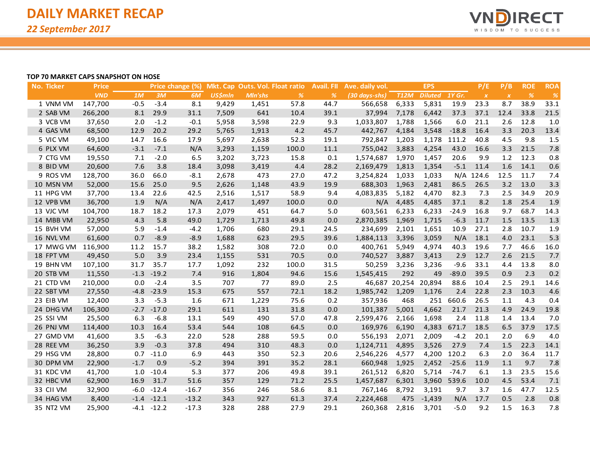

#### **TOP 70 MARKET CAPS SNAPSHOT ON HOSE**

| No. Ticker | <b>Price</b> |        |         | Price change (%) |                |                | Mkt. Cap Outs. Vol. Float ratio | <b>Avail. FII</b> | Ave. daily vol. |                      | <b>EPS</b>     |         | P/E          | P/B              | <b>ROE</b> | <b>ROA</b>    |
|------------|--------------|--------|---------|------------------|----------------|----------------|---------------------------------|-------------------|-----------------|----------------------|----------------|---------|--------------|------------------|------------|---------------|
|            | <b>VND</b>   | 1M     | 3M      | 6M               | <b>US\$mln</b> | <b>MIn'shs</b> | $\%$                            | $\frac{9}{6}$     | (30 days-shs)   | <b>T12M</b>          | <b>Diluted</b> | 1Y Gr.  | $\pmb{\chi}$ | $\boldsymbol{X}$ | $\%$       | $\frac{9}{6}$ |
| 1 VNM VM   | 147,700      | $-0.5$ | $-3.4$  | 8.1              | 9,429          | 1,451          | 57.8                            | 44.7              | 566,658         | 6,333                | 5,831          | 19.9    | 23.3         | 8.7              | 38.9       | 33.1          |
| 2 SAB VM   | 266,200      | 8.1    | 29.9    | 31.1             | 7,509          | 641            | 10.4                            | 39.1              | 37,994          | 7,178                | 6,442          | 37.3    | 37.1         | 12.4             | 33.8       | 21.5          |
| 3 VCB VM   | 37,650       | 2.0    | $-1.2$  | $-0.1$           | 5,958          | 3,598          | 22.9                            | 9.3               | 1,033,807       | 1,788                | 1,566          | 6.0     | 21.1         | 2.6              | 12.8       | 1.0           |
| 4 GAS VM   | 68,500       | 12.9   | 20.2    | 29.2             | 5,765          | 1,913          | 4.2                             | 45.7              | 442,767         | 4,184                | 3,548          | $-18.8$ | 16.4         | 3.3              | 20.3       | 13.4          |
| 5 VIC VM   | 49,100       | 14.7   | 16.6    | 17.9             | 5,697          | 2,638          | 52.3                            | 19.1              | 792,847         | 1,203                | 1,178          | 111.2   | 40.8         | 4.5              | 9.8        | 1.5           |
| 6 PLX VM   | 64,600       | $-3.1$ | $-7.1$  | N/A              | 3,293          | 1,159          | 100.0                           | 11.1              | 755,042         | 3,883                | 4,254          | 43.0    | 16.6         | 3.3              | 21.5       | 7.8           |
| 7 CTG VM   | 19,550       | 7.1    | $-2.0$  | 6.5              | 3,202          | 3,723          | 15.8                            | 0.1               | 1,574,687       | 1,970                | 1,457          | 20.6    | 9.9          | 1.2              | 12.3       | 0.8           |
| 8 BID VM   | 20,600       | 7.6    | 3.8     | 18.4             | 3,098          | 3,419          | 4.4                             | 28.2              | 2,169,479       | 1,813                | 1,354          | $-5.1$  | 11.4         | 1.6              | 14.1       | 0.6           |
| 9 ROS VM   | 128,700      | 36.0   | 66.0    | $-8.1$           | 2,678          | 473            | 27.0                            | 47.2              | 3,254,824       | 1,033                | 1,033          |         | N/A 124.6    | 12.5             | 11.7       | 7.4           |
| 10 MSN VM  | 52,000       | 15.6   | 25.0    | 9.5              | 2,626          | 1,148          | 43.9                            | 19.9              | 688,303         | 1,963                | 2,481          | 86.5    | 26.5         | 3.2              | 13.0       | 3.3           |
| 11 HPG VM  | 37,700       | 13.4   | 22.6    | 42.5             | 2,516          | 1,517          | 58.9                            | 9.4               | 4,083,835       | 5,182                | 4,470          | 82.3    | 7.3          | 2.5              | 34.9       | 20.9          |
| 12 VPB VM  | 36,700       | 1.9    | N/A     | N/A              | 2,417          | 1,497          | 100.0                           | 0.0               | N/A             | 4,485                | 4,485          | 37.1    | 8.2          | 1.8              | 25.4       | 1.9           |
| 13 VJC VM  | 104,700      | 18.7   | 18.2    | 17.3             | 2,079          | 451            | 64.7                            | 5.0               | 603,561         | 6,233                | 6,233          | $-24.9$ | 16.8         | 9.7              | 68.7       | 14.3          |
| 14 MBB VM  | 22,950       | 4.3    | 5.8     | 49.0             | 1,729          | 1,713          | 49.8                            | 0.0               | 2,870,385       | 1,969                | 1,715          | $-6.3$  | 11.7         | 1.5              | 13.5       | 1.3           |
| 15 BVH VM  | 57,000       | 5.9    | $-1.4$  | $-4.2$           | 1,706          | 680            | 29.1                            | 24.5              | 234,699         | 2,101                | 1,651          | 10.9    | 27.1         | 2.8              | 10.7       | 1.9           |
| 16 NVL VM  | 61,600       | 0.7    | $-8.9$  | $-8.9$           | 1,688          | 623            | 29.5                            | 39.6              | 1,884,113       | 3,396                | 3,059          | N/A     | 18.1         | 4.0              | 23.1       | 5.3           |
| 17 MWG VM  | 116,900      | 11.2   | 15.7    | 38.2             | 1,582          | 308            | 72.0                            | 0.0               | 400,761         | 5,949                | 4,974          | 40.3    | 19.6         | 7.7              | 46.6       | 16.0          |
| 18 FPT VM  | 49,450       | 5.0    | 3.9     | 23.4             | 1,155          | 531            | 70.5                            | 0.0               | 740,527         | 3,887                | 3,413          | 2.9     | 12.7         | 2.6              | 21.5       | 7.7           |
| 19 BHN VM  | 107,100      | 31.7   | 35.7    | 17.7             | 1,092          | 232            | 100.0                           | 31.5              | 50,259          | 3,236                | 3,236          | $-9.6$  | 33.1         | 4.4              | 13.8       | 8.0           |
| 20 STB VM  | 11,550       | $-1.3$ | $-19.2$ | 7.4              | 916            | 1,804          | 94.6                            | 15.6              | 1,545,415       | 292                  | 49             | $-89.0$ | 39.5         | 0.9              | 2.3        | 0.2           |
| 21 CTD VM  | 210,000      | 0.0    | $-2.4$  | 3.5              | 707            | 77             | 89.0                            | 2.5               |                 | 46,687 20,254 20,894 |                | 88.6    | 10.4         | 2.5              | 29.1       | 14.6          |
| 22 SBT VM  | 27,550       | $-4.8$ | $-23.9$ | 15.3             | 675            | 557            | 72.1                            | 18.2              | 1,985,742       | 1,209                | 1,176          | 2.4     | 22.8         | 2.3              | 10.3       | 4.6           |
| 23 EIB VM  | 12,400       | 3.3    | $-5.3$  | 1.6              | 671            | 1,229          | 75.6                            | 0.2               | 357,936         | 468                  | 251            | 660.6   | 26.5         | 1.1              | 4.3        | 0.4           |
| 24 DHG VM  | 106,300      | $-2.7$ | $-17.0$ | 29.1             | 611            | 131            | 31.8                            | 0.0               | 101,387         | 5,001                | 4,662          | 21.7    | 21.3         | 4.9              | 24.9       | 19.8          |
| 25 SSI VM  | 25,500       | 6.3    | $-6.8$  | 13.1             | 549            | 490            | 57.0                            | 47.8              | 2,599,476       | 2,166                | 1,698          | 2.4     | 11.8         | 1.4              | 13.4       | 7.0           |
| 26 PNJ VM  | 114,400      | 10.3   | 16.4    | 53.4             | 544            | 108            | 64.5                            | 0.0               | 169,976         | 6,190                | 4,383          | 671.7   | 18.5         | 6.5              | 37.9       | 17.5          |
| 27 GMD VM  | 41,600       | 3.5    | $-6.3$  | 22.0             | 528            | 288            | 59.5                            | 0.0               | 556,193         | 2,071                | 2,009          | $-4.2$  | 20.1         | 2.0              | 6.9        | 4.0           |
| 28 REE VM  | 36,250       | 3.9    | $-0.3$  | 37.8             | 494            | 310            | 48.3                            | 0.0               | 1,124,711       | 4,895                | 3,526          | 27.9    | 7.4          | 1.5              | 22.3       | 14.1          |
| 29 HSG VM  | 28,800       | 0.7    | $-11.0$ | 6.9              | 443            | 350            | 52.3                            | 20.6              | 2,546,226       | 4,577                | 4,200          | 120.2   | 6.3          | 2.0              | 36.4       | 11.7          |
| 30 DPM VM  | 22,900       | $-1.7$ | 0.9     | $-5.2$           | 394            | 391            | 35.2                            | 28.1              | 660,948         | 1,925                | 2,452          | $-25.6$ | 11.9         | 1.1              | 9.7        | 7.8           |
| 31 KDC VM  | 41,700       | 1.0    | $-10.4$ | 5.3              | 377            | 206            | 49.8                            | 39.1              | 261,512         | 6,820                | 5,714          | $-74.7$ | 6.1          | 1.3              | 23.5       | 15.6          |
| 32 HBC VM  | 62,900       | 16.9   | 31.7    | 51.6             | 357            | 129            | 71.2                            | 25.5              | 1,457,687       | 6,301                | 3,960          | 539.6   | 10.0         | 4.5              | 53.4       | 7.1           |
| 33 CII VM  | 32,900       | $-6.0$ | $-12.4$ | $-16.7$          | 356            | 246            | 58.6                            | 8.1               | 767,146         | 8,792                | 3,191          | 9.7     | 3.7          | 1.6              | 47.7       | 12.5          |
| 34 HAG VM  | 8,400        | $-1.4$ | $-12.1$ | $-13.2$          | 343            | 927            | 61.3                            | 37.4              | 2,224,468       | 475                  | $-1,439$       | N/A     | 17.7         | 0.5              | 2.8        | 0.8           |
| 35 NT2 VM  | 25,900       | -4.1   | $-12.2$ | $-17.3$          | 328            | 288            | 27.9                            | 29.1              | 260,368         | 2,816                | 3,701          | $-5.0$  | 9.2          | 1.5              | 16.3       | 7.8           |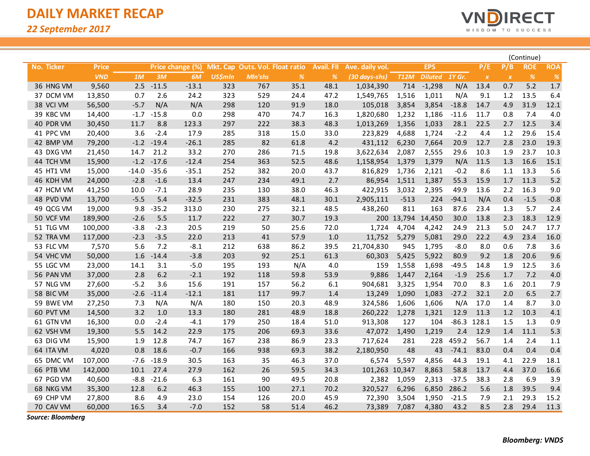

|            |              |         |              |                  |                |                                 |      |                   |                 |             |                |               |               |                  | (Continue)    |            |
|------------|--------------|---------|--------------|------------------|----------------|---------------------------------|------|-------------------|-----------------|-------------|----------------|---------------|---------------|------------------|---------------|------------|
| No. Ticker | <b>Price</b> |         |              | Price change (%) |                | Mkt. Cap Outs. Vol. Float ratio |      | <b>Avail. FII</b> | Ave. daily vol. |             | <b>EPS</b>     |               | P/E           | P/B              | <b>ROE</b>    | <b>ROA</b> |
|            | <b>VND</b>   | 1M      | 3M           | 6M               | <b>US\$mln</b> | Mln'shs                         | $\%$ | $\%$              | (30 days-shs)   | <b>T12M</b> | <b>Diluted</b> | <b>1Y Gr.</b> | $\pmb{X}$     | $\boldsymbol{X}$ | $\frac{9}{6}$ | $\%$       |
| 36 HNG VM  | 9,560        | 2.5     | $-11.5$      | $-13.1$          | 323            | 767                             | 35.1 | 48.1              | 1,034,390       | 714         | $-1,298$       | N/A           | 13.4          | 0.7              | 5.2           | $1.7$      |
| 37 DCM VM  | 13,850       | 0.7     | 2.6          | 24.2             | 323            | 529                             | 24.4 | 47.2              | 1,549,765       | 1,516       | 1,011          | N/A           | 9.1           | 1.2              | 13.5          | 6.4        |
| 38 VCI VM  | 56,500       | $-5.7$  | N/A          | N/A              | 298            | 120                             | 91.9 | 18.0              | 105,018         | 3,854       | 3,854          | $-18.8$       | 14.7          | 4.9              | 31.9          | 12.1       |
| 39 KBC VM  | 14,400       | $-1.7$  | $-15.8$      | 0.0              | 298            | 470                             | 74.7 | 16.3              | 1,820,680       | 1,232       | 1,186          | $-11.6$       | 11.7          | 0.8              | 7.4           | 4.0        |
| 40 PDR VM  | 30,450       | 11.7    | 8.8          | 123.3            | 297            | 222                             | 38.3 | 48.3              | 1,013,269       | 1,356       | 1,033          | 28.1          | 22.5          | 2.7              | 12.5          | 3.4        |
| 41 PPC VM  | 20,400       | 3.6     | $-2.4$       | 17.9             | 285            | 318                             | 15.0 | 33.0              | 223,829         | 4,688       | 1,724          | $-2.2$        | 4.4           | 1.2              | 29.6          | 15.4       |
| 42 BMP VM  | 79,200       | $-1.2$  | $-19.4$      | $-26.1$          | 285            | 82                              | 61.8 | 4.2               | 431,112         | 6,230       | 7,664          | 20.9          | 12.7          | 2.8              | 23.0          | 19.3       |
| 43 DXG VM  | 21,450       | 14.7    | 21.2         | 33.2             | 270            | 286                             | 71.5 | 19.8              | 3,622,634       | 2,087       | 2,555          | 29.6          | 10.3          | 1.9              | 23.7          | 10.3       |
| 44 TCH VM  | 15,900       |         | $-1.2 -17.6$ | $-12.4$          | 254            | 363                             | 52.5 | 48.6              | 1,158,954       | 1,379       | 1,379          | N/A           | 11.5          | 1.3              | 16.6          | 15.1       |
| 45 HT1 VM  | 15,000       | $-14.0$ | $-35.6$      | $-35.1$          | 252            | 382                             | 20.0 | 43.7              | 816,829         | 1,736       | 2,121          | $-0.2$        | 8.6           | 1.1              | 13.3          | 5.6        |
| 46 KDH VM  | 24,000       | $-2.8$  | $-1.6$       | 13.4             | 247            | 234                             | 49.1 | 2.7               | 86,954          | 1,511       | 1,387          | 55.3          | 15.9          | 1.7              | 11.3          | $5.2$      |
| 47 HCM VM  | 41,250       | 10.0    | $-7.1$       | 28.9             | 235            | 130                             | 38.0 | 46.3              | 422,915         | 3,032       | 2,395          | 49.9          | 13.6          | 2.2              | 16.3          | 9.0        |
| 48 PVD VM  | 13,700       | $-5.5$  | 5.4          | $-32.5$          | 231            | 383                             | 48.1 | 30.1              | 2,905,111       | $-513$      | 224            | $-94.1$       | N/A           | 0.4              | $-1.5$        | $-0.8$     |
| 49 QCG VM  | 19,000       | 9.8     | $-35.2$      | 313.0            | 230            | 275                             | 32.1 | 48.5              | 438,260         | 811         | 163            | 87.6          | 23.4          | 1.3              | 5.7           | 2.4        |
| 50 VCF VM  | 189,900      | $-2.6$  | 5.5          | 11.7             | 222            | 27                              | 30.7 | 19.3              |                 | 200 13,794  | 14,450         | 30.0          | 13.8          | 2.3              | 18.3          | 12.9       |
| 51 TLG VM  | 100,000      | $-3.8$  | $-2.3$       | 20.5             | 219            | 50                              | 25.6 | 72.0              | 1,724           | 4,704       | 4,242          | 24.9          | 21.3          | 5.0              | 24.7          | 17.7       |
| 52 TRA VM  | 117,000      | $-2.3$  | $-3.5$       | 22.0             | 213            | 41                              | 57.9 | 1.0               | 11,752          | 5,279       | 5,081          | 29.0          | 22.2          | 4.9              | 23.4          | 16.0       |
| 53 FLC VM  | 7,570        | 5.6     | 7.2          | $-8.1$           | 212            | 638                             | 86.2 | 39.5              | 21,704,830      | 945         | 1,795          | $-8.0$        | 8.0           | 0.6              | 7.8           | 3.6        |
| 54 VHC VM  | 50,000       | 1.6     | $-14.4$      | $-3.8$           | 203            | 92                              | 25.1 | 61.3              | 60,303          | 5,425       | 5,922          | 80.9          | 9.2           | 1.8              | 20.6          | 9.6        |
| 55 LGC VM  | 23,000       | 14.1    | 3.1          | $-5.0$           | 195            | 193                             | N/A  | 4.0               | 159             | 1,558       | 1,698          | $-49.5$       | 14.8          | 1.9              | 12.5          | 3.6        |
| 56 PAN VM  | 37,000       | 2.8     | 6.2          | $-2.1$           | 192            | 118                             | 59.8 | 53.9              | 9,886           | 1,447       | 2,164          | $-1.9$        | 25.6          | 1.7              | 7.2           | $4.0$      |
| 57 NLG VM  | 27,600       | $-5.2$  | 3.6          | 15.6             | 191            | 157                             | 56.2 | 6.1               | 904,681         | 3,325       | 1,954          | 70.0          | 8.3           | 1.6              | 20.1          | 7.9        |
| 58 BIC VM  | 35,000       | $-2.6$  | $-11.4$      | $-12.1$          | 181            | 117                             | 99.7 | 1.4               | 13,249          | 1,090       | 1,083          | $-27.2$       | 32.1          | 2.0              | 6.5           | 2.7        |
| 59 BWE VM  | 27,250       | 7.3     | N/A          | N/A              | 180            | 150                             | 20.3 | 48.9              | 324,586         | 1,606       | 1,606          | N/A           | 17.0          | 1.4              | 8.7           | 3.0        |
| 60 PVT VM  | 14,500       | 3.2     | 1.0          | 13.3             | 180            | 281                             | 48.9 | 18.8              | 260,222         | 1,278       | 1,321          | 12.9          | 11.3          | 1.2              | 10.3          | 4.1        |
| 61 GTN VM  | 16,300       | 0.0     | $-2.4$       | $-4.1$           | 179            | 250                             | 18.4 | 51.0              | 913,308         | 127         | 104            |               | $-86.3$ 128.1 | 1.5              | 1.3           | 0.9        |
| 62 VSH VM  | 19,300       | 5.5     | 14.2         | 22.9             | 175            | 206                             | 69.3 | 33.6              | 47,072          | 1,490       | 1,219          | 2.4           | 12.9          | 1.4              | 11.1          | 5.3        |
| 63 DIG VM  | 15,900       | 1.9     | 12.8         | 74.7             | 167            | 238                             | 86.9 | 23.3              | 717,624         | 281         | 228            | 459.2         | 56.7          | 1.4              | 2.4           | 1.1        |
| 64 ITA VM  | 4,020        | 0.8     | 18.6         | $-0.7$           | 166            | 938                             | 69.3 | 38.2              | 2,180,950       | 48          | 43             | $-74.1$       | 83.0          | 0.4              | 0.4           | 0.4        |
| 65 DMC VM  | 107,000      | $-7.6$  | $-18.9$      | 30.5             | 163            | 35                              | 46.3 | 37.0              | 6,574           | 5,597       | 4,856          | 44.3          | 19.1          | 4.1              | 22.9          | 18.1       |
| 66 PTB VM  | 142,000      | 10.1    | 27.4         | 27.9             | 162            | 26                              | 59.5 | 34.3              | 101,263 10,347  |             | 8,863          | 58.8          | 13.7          | 4.4              | 37.0          | 16.6       |
| 67 PGD VM  | 40,600       | $-8.8$  | $-21.6$      | 6.3              | 161            | 90                              | 49.5 | 20.8              | 2,382           | 1,059       | 2,313          | $-37.5$       | 38.3          | 2.8              | 6.9           | 3.9        |
| 68 NKG VM  | 35,300       | 12.8    | 6.2          | 46.3             | 155            | 100                             | 27.1 | 70.2              | 320,527         | 6,296       | 6,850          | 286.2         | 5.6           | 1.8              | 39.5          | 9.4        |
| 69 CHP VM  | 27,800       | 8.6     | 4.9          | 23.0             | 154            | 126                             | 20.0 | 45.9              | 72,390          | 3,504       | 1,950          | $-21.5$       | 7.9           | 2.1              | 29.3          | 15.2       |
| 70 CAV VM  | 60,000       | 16.5    | 3.4          | $-7.0$           | 152            | 58                              | 51.4 | 46.2              | 73,389          | 7,087       | 4,380          | 43.2          | 8.5           | 2.8              | 29.4          | 11.3       |

*Source: Bloomberg*